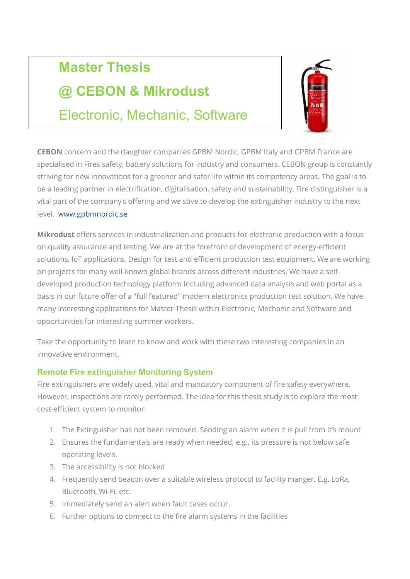# Master Thesis

# @ CEBON & Mikrodust

Electronic, Mechanic, Software

CEBON concern and the daughter companies GPBM Nordic, GPBM Italy and GPBM France are specialised in Fires safety, battery solutions for industry and consumers. CEBON group is constantly striving for new innovations for a greener and safer life within its competency areas. The goal is to be a leading partner in electrification, digitalisation, safety and sustainability. Fire distinguisher is a vital part of the company's offering and we stive to develop the extinguisher industry to the next level. www.gpbmnordic.se

Mikrodust offers services in industrialization and products for electronic production with a focus on quality assurance and testing. We are at the forefront of development of energy-efficient solutions, IoT applications, Design for test and efficient production test equipment. We are working on projects for many well-known global brands across different industries. We have a selfdeveloped production technology platform including advanced data analysis and web portal as a basis in our future offer of a "full featured" modern electronics production test solution. We have many interesting applications for Master Thesis within Electronic, Mechanic and Software and opportunities for interesting summer workers.

Take the opportunity to learn to know and work with these two interesting companies in an innovative environment.

### Remote Fire extinguisher Monitoring System

Fire extinguishers are widely used, vital and mandatory component of fire safety everywhere. However, inspections are rarely performed. The idea for this thesis study is to explore the most cost-efficient system to monitor:

- 1. The Extinguisher has not been removed. Sending an alarm when it is pull from it's mount
- 2. Ensures the fundamentals are ready when needed, e.g., its pressure is not below safe operating levels.
- 3. The accessibility is not blocked
- 4. Frequently send beacon over a suitable wireless protocol to facility manger. E.g. LoRa, Bluetooth, Wi-Fi, etc.
- 5. Immediately send an alert when fault cases occur.
- 6. Further options to connect to the fire alarm systems in the facilities